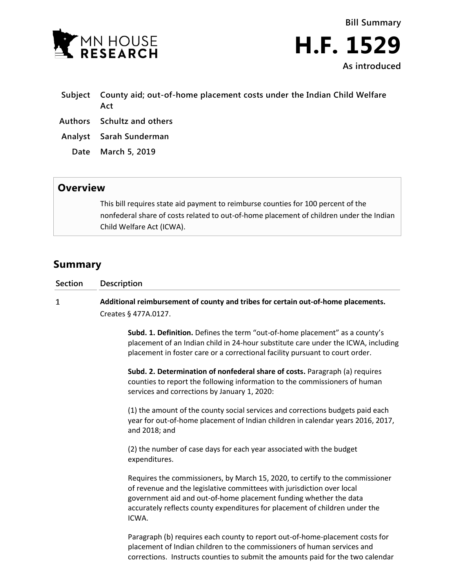



- **Subject County aid; out-of-home placement costs under the Indian Child Welfare Act**
- **Authors Schultz and others**
- **Analyst Sarah Sunderman**
	- **Date March 5, 2019**

## **Overview**

This bill requires state aid payment to reimburse counties for 100 percent of the nonfederal share of costs related to out-of-home placement of children under the Indian Child Welfare Act (ICWA).

## **Summary**

| Section | <b>Description</b>                                                                                                                                                |
|---------|-------------------------------------------------------------------------------------------------------------------------------------------------------------------|
|         | Additional reimbursement of county and tribes for certain out-of-home placements.                                                                                 |
|         | Creates § 477A.0127.                                                                                                                                              |
|         | Subd. 1. Definition. Defines the term "out-of-home placement" as a county's                                                                                       |
|         | placement of an Indian child in 24-hour substitute care under the ICWA, including<br>placement in foster care or a correctional facility pursuant to court order. |

**Subd. 2. Determination of nonfederal share of costs.** Paragraph (a) requires counties to report the following information to the commissioners of human services and corrections by January 1, 2020:

(1) the amount of the county social services and corrections budgets paid each year for out-of-home placement of Indian children in calendar years 2016, 2017, and 2018; and

(2) the number of case days for each year associated with the budget expenditures.

Requires the commissioners, by March 15, 2020, to certify to the commissioner of revenue and the legislative committees with jurisdiction over local government aid and out-of-home placement funding whether the data accurately reflects county expenditures for placement of children under the ICWA.

Paragraph (b) requires each county to report out-of-home-placement costs for placement of Indian children to the commissioners of human services and corrections. Instructs counties to submit the amounts paid for the two calendar